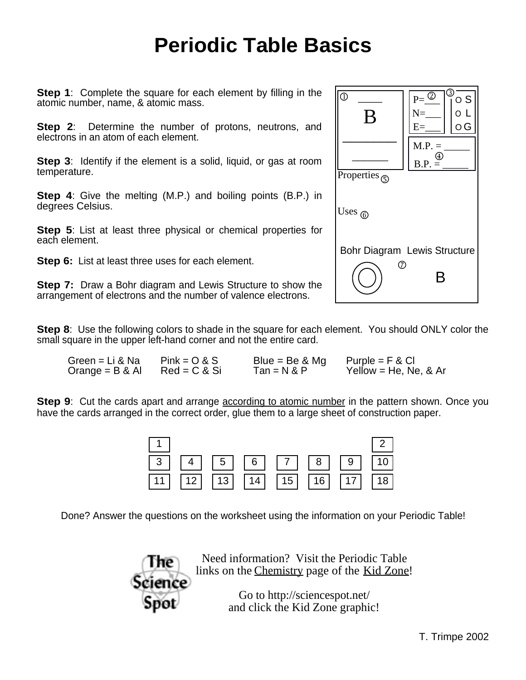## **Periodic Table Basics**

**Step 1**: Complete the square for each element by filling in the atomic number, name, & atomic mass.

**Step 2:** Determine the number of protons, neutrons, and electrons in an atom of each element.

**Step 3:** Identify if the element is a solid, liquid, or gas at room temperature.

**Step 4**: Give the melting (M.P.) and boiling points (B.P.) in degrees Celsius.

**Step 5**: List at least three physical or chemical properties for each element.

**Step 6:** List at least three uses for each element.

**Step 7:** Draw a Bohr diagram and Lewis Structure to show the arrangement of electrons and the number of valence electrons.

**Step 8**: Use the following colors to shade in the square for each element. You should ONLY color the small square in the upper left-hand corner and not the entire card.

| Green = Li & Na | $Pink = O & S$  | Blue = Be $&$ Mg | Purple = $F & Cl$      |
|-----------------|-----------------|------------------|------------------------|
| Orange = B & Al | $Red = C & S$ i | Tan = N & P      | Yellow = He, Ne, $&Ar$ |

**Step 9**: Cut the cards apart and arrange according to atomic number in the pattern shown. Once you have the cards arranged in the correct order, glue them to a large sheet of construction paper.

| $\vert 1 \vert$ |  |  |                                                                                                         | $\begin{vmatrix} 2 \end{vmatrix}$ |
|-----------------|--|--|---------------------------------------------------------------------------------------------------------|-----------------------------------|
|                 |  |  |                                                                                                         |                                   |
|                 |  |  | $\boxed{11}$ $\boxed{12}$ $\boxed{13}$ $\boxed{14}$ $\boxed{15}$ $\boxed{16}$ $\boxed{17}$ $\boxed{18}$ |                                   |

Done? Answer the questions on the worksheet using the information on your Periodic Table!



Need information? Visit the Periodic Table links on the Chemistry page of the Kid Zone!

> Go to <http://sciencespot.net/> and click the Kid Zone graphic!

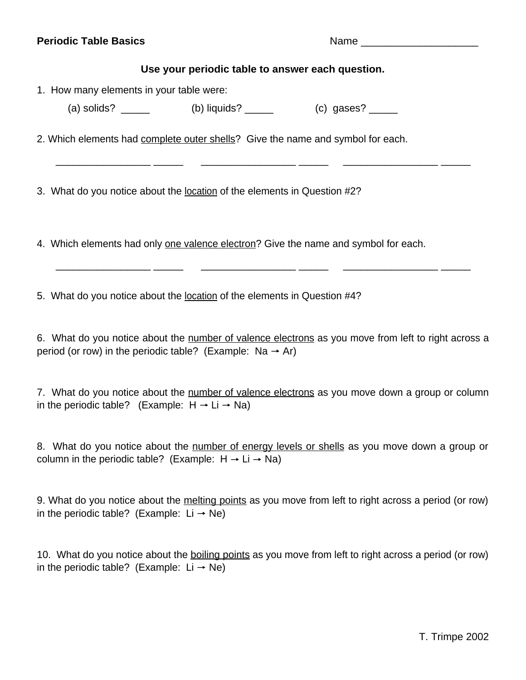## **Periodic Table Basics** Name **Name** Name

## **Use your periodic table to answer each question.**

\_\_\_\_\_\_\_\_\_\_\_\_\_\_\_\_ \_\_\_\_\_ \_\_\_\_\_\_\_\_\_\_\_\_\_\_\_\_ \_\_\_\_\_ \_\_\_\_\_\_\_\_\_\_\_\_\_\_\_\_ \_\_\_\_\_

1. How many elements in your table were:

(a) solids?  $\qquad \qquad$  (b) liquids?  $\qquad \qquad$  (c) gases?  $\qquad \qquad$ 

2. Which elements had complete outer shells? Give the name and symbol for each.

3. What do you notice about the location of the elements in Question #2?

4. Which elements had only one valence electron? Give the name and symbol for each.

5. What do you notice about the location of the elements in Question #4?

6. What do you notice about the number of valence electrons as you move from left to right across a period (or row) in the periodic table? (Example:  $Na \rightarrow Ar$ )

\_\_\_\_\_\_\_\_\_\_\_\_\_\_\_\_ \_\_\_\_\_ \_\_\_\_\_\_\_\_\_\_\_\_\_\_\_\_ \_\_\_\_\_ \_\_\_\_\_\_\_\_\_\_\_\_\_\_\_\_ \_\_\_\_\_

7. What do you notice about the number of valence electrons as you move down a group or column in the periodic table? (Example:  $H \rightarrow Li \rightarrow Na$ )

8. What do you notice about the number of energy levels or shells as you move down a group or column in the periodic table? (Example:  $H \rightarrow Li \rightarrow Na$ )

9. What do you notice about the melting points as you move from left to right across a period (or row) in the periodic table? (Example:  $Li \rightarrow Ne$ )

10. What do you notice about the boiling points as you move from left to right across a period (or row) in the periodic table? (Example:  $Li \rightarrow Ne$ )